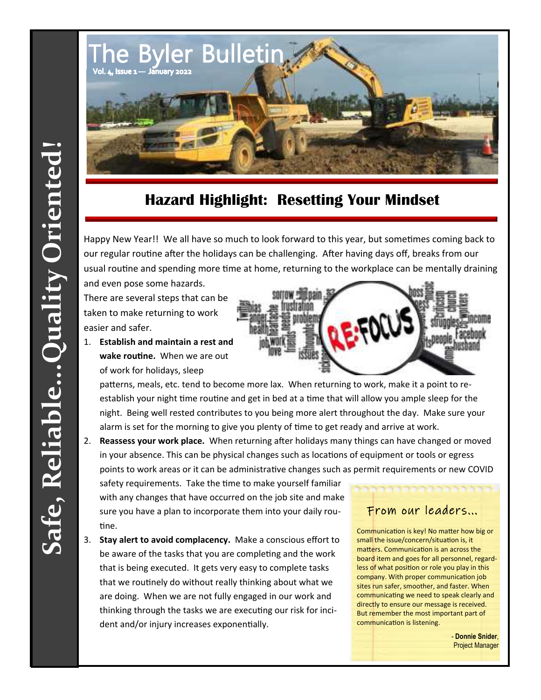

## **Hazard Highlight: Resetting Your Mindset**

Happy New Year!! We all have so much to look forward to this year, but sometimes coming back to our regular routine after the holidays can be challenging. After having days off, breaks from our usual routine and spending more time at home, returning to the workplace can be mentally draining and even pose some hazards.

There are several steps that can be taken to make returning to work easier and safer.

1. **Establish and maintain a rest and wake routine.** When we are out of work for holidays, sleep

patterns, meals, etc. tend to become more lax. When returning to work, make it a point to reestablish your night time routine and get in bed at a time that will allow you ample sleep for the night. Being well rested contributes to you being more alert throughout the day. Make sure your alarm is set for the morning to give you plenty of time to get ready and arrive at work.

2. **Reassess your work place.** When returning after holidays many things can have changed or moved in your absence. This can be physical changes such as locations of equipment or tools or egress points to work areas or it can be administrative changes such as permit requirements or new COVID

safety requirements. Take the time to make yourself familiar with any changes that have occurred on the job site and make sure you have a plan to incorporate them into your daily routine.

3. **Stay alert to avoid complacency.** Make a conscious effort to be aware of the tasks that you are completing and the work that is being executed. It gets very easy to complete tasks that we routinely do without really thinking about what we are doing. When we are not fully engaged in our work and thinking through the tasks we are executing our risk for incident and/or injury increases exponentially.

## From our leaders...

Communication is key! No matter how big or small the issue/concern/situation is, it matters. Communication is an across the board item and goes for all personnel, regard‐ less of what position or role you play in this company. With proper communication job sites run safer, smoother, and faster. When communicating we need to speak clearly and directly to ensure our message is received. But remember the most important part of communication is listening.

> - **Donnie Snider**, Project Manager